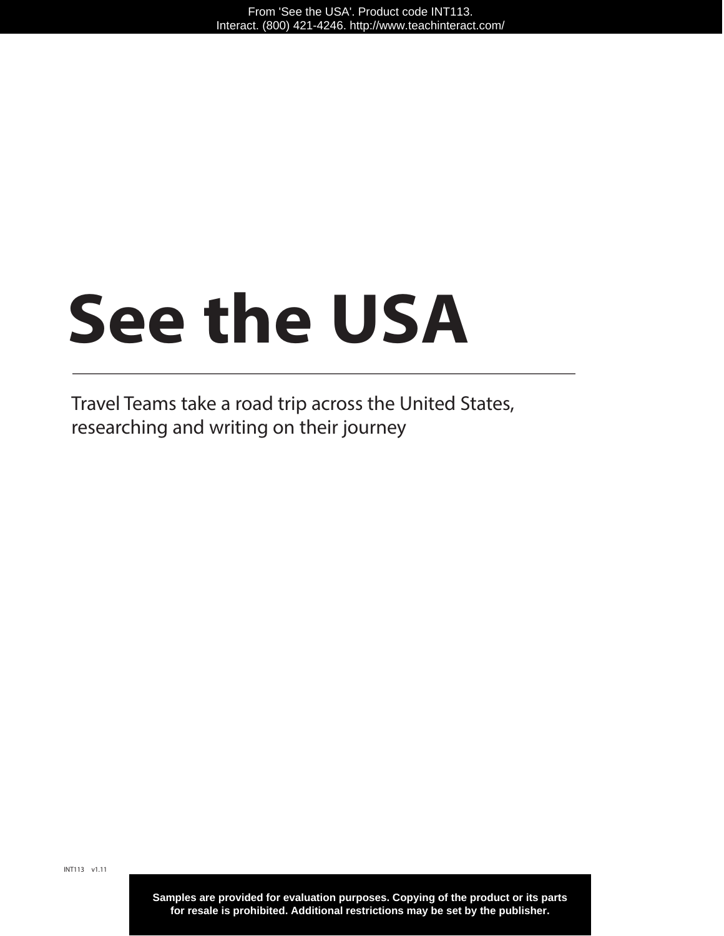# **See the USA**

Travel Teams take a road trip across the United States, researching and writing on their journey

**Samples are provided for evaluation purposes. Copying of the product or its parts for resale is prohibited. Additional restrictions may be set by the publisher.**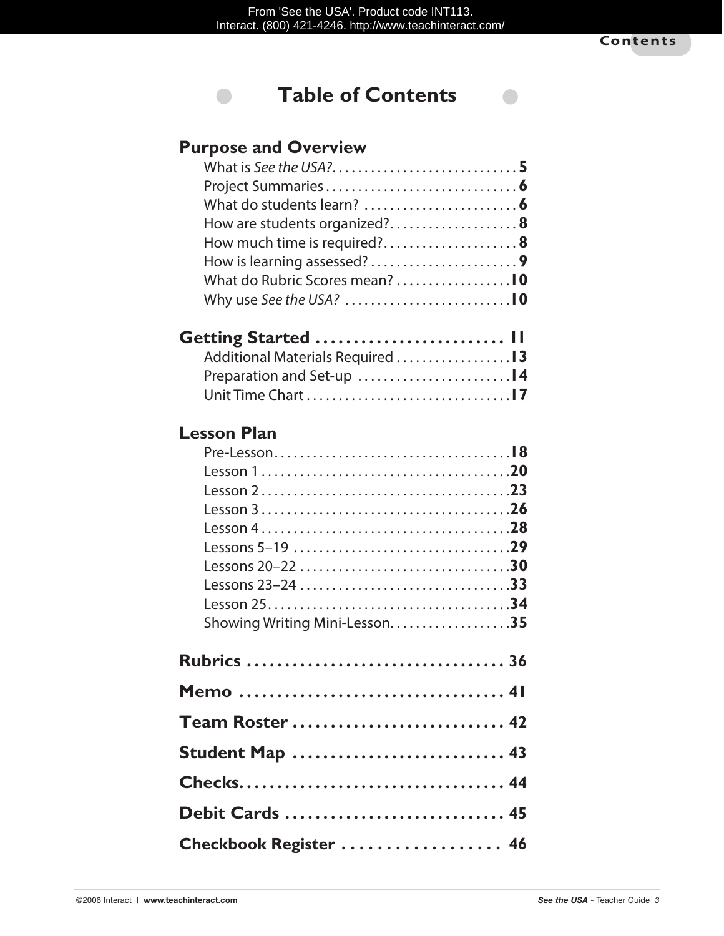$\bullet$ 



## **Purpose and Overview**

 $\qquad \qquad \blacksquare$ 

| How are students organized? 8 |  |
|-------------------------------|--|
| How much time is required?8   |  |
| How is learning assessed?9    |  |
|                               |  |
|                               |  |
|                               |  |

| Getting Started  II              |  |
|----------------------------------|--|
| Additional Materials Required 13 |  |
|                                  |  |
|                                  |  |

## **Lesson Plan**

| Showing Writing Mini-Lesson35 |  |
|-------------------------------|--|
| <b>Rubrics  36</b>            |  |
|                               |  |
| Team Roster  42               |  |
| Student Map  43               |  |
|                               |  |
| Debit Cards  45               |  |
| Checkbook Register  46        |  |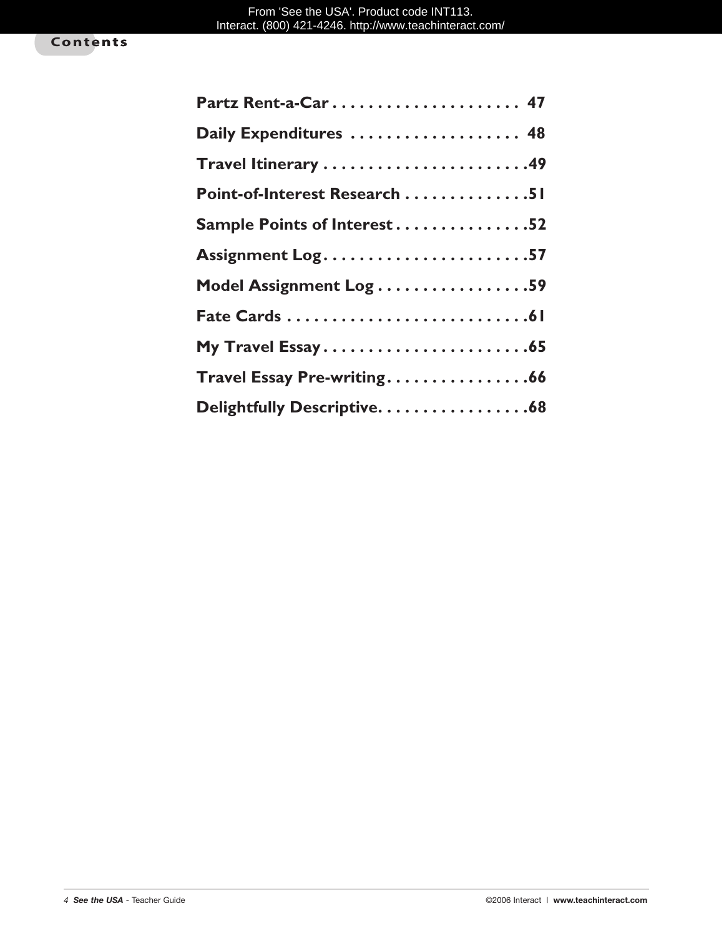| Partz Rent-a-Car 47           |
|-------------------------------|
| Daily Expenditures  48        |
|                               |
| Point-of-Interest Research 51 |
| Sample Points of Interest52   |
| Assignment Log57              |
| Model Assignment Log 59       |
|                               |
| My Travel Essay65             |
| Travel Essay Pre-writing66    |
| Delightfully Descriptive. 68  |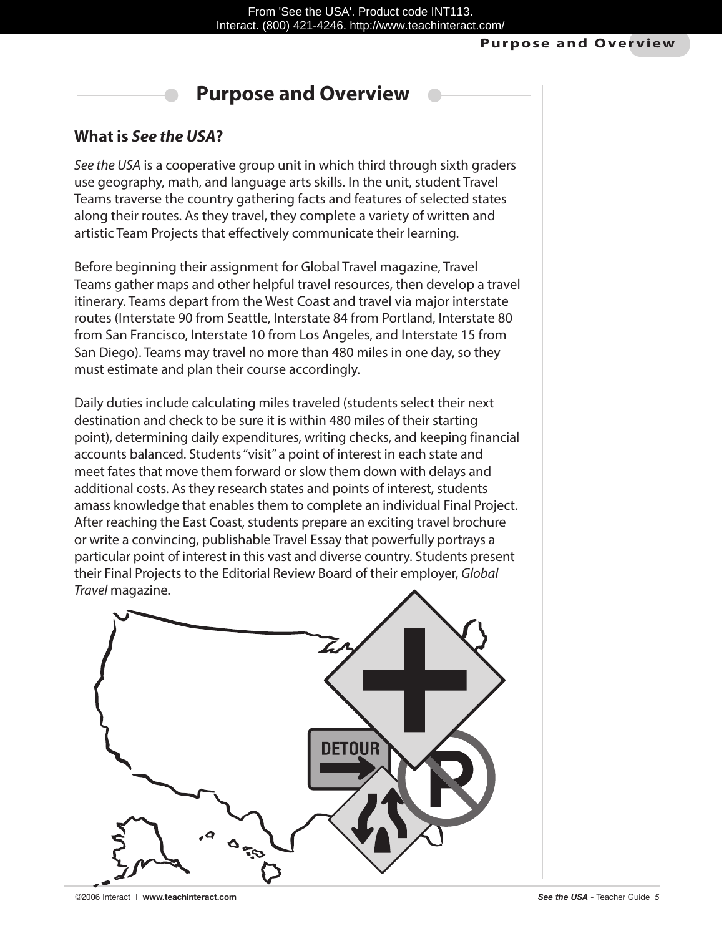#### **Purpose and Overview**

# **Purpose and Overview**

### **What is** *See the USA***?**

*See the USA* is a cooperative group unit in which third through sixth graders use geography, math, and language arts skills. In the unit, student Travel Teams traverse the country gathering facts and features of selected states along their routes. As they travel, they complete a variety of written and artistic Team Projects that effectively communicate their learning.

Before beginning their assignment for Global Travel magazine, Travel Teams gather maps and other helpful travel resources, then develop a travel itinerary. Teams depart from the West Coast and travel via major interstate routes (Interstate 90 from Seattle, Interstate 84 from Portland, Interstate 80 from San Francisco, Interstate 10 from Los Angeles, and Interstate 15 from San Diego). Teams may travel no more than 480 miles in one day, so they must estimate and plan their course accordingly.

Daily duties include calculating miles traveled (students select their next destination and check to be sure it is within 480 miles of their starting point), determining daily expenditures, writing checks, and keeping financial accounts balanced. Students "visit" a point of interest in each state and meet fates that move them forward or slow them down with delays and additional costs. As they research states and points of interest, students amass knowledge that enables them to complete an individual Final Project. After reaching the East Coast, students prepare an exciting travel brochure or write a convincing, publishable Travel Essay that powerfully portrays a particular point of interest in this vast and diverse country. Students present their Final Projects to the Editorial Review Board of their employer, *Global Travel* magazine.

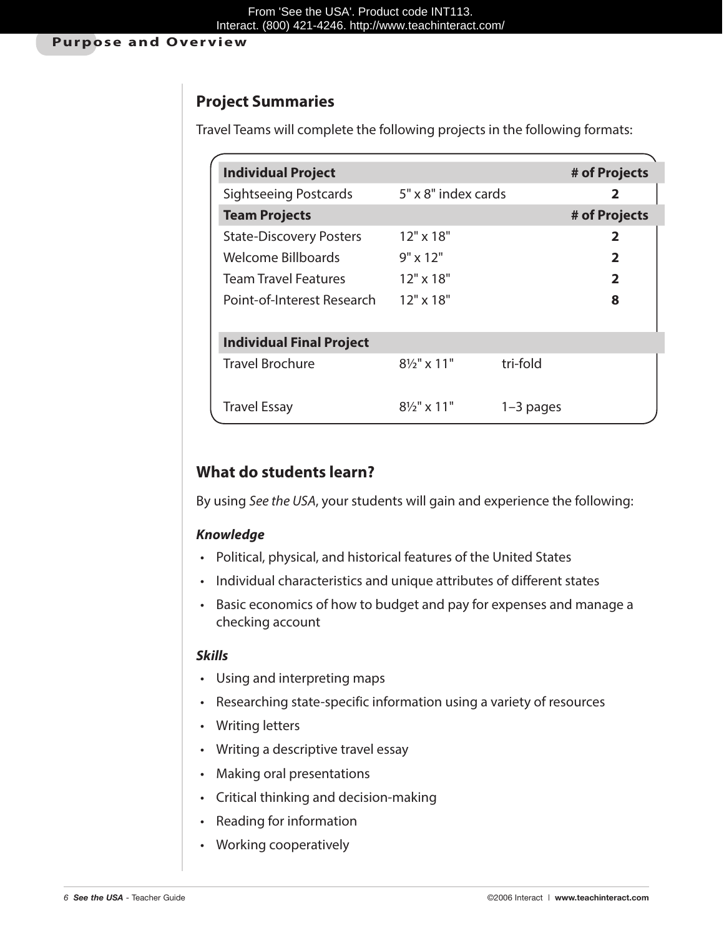## **Project Summaries**

Travel Teams will complete the following projects in the following formats:

| <b>Individual Project</b>       |                        |           | # of Projects           |
|---------------------------------|------------------------|-----------|-------------------------|
| <b>Sightseeing Postcards</b>    | 5" x 8" index cards    |           | 2                       |
| <b>Team Projects</b>            |                        |           | # of Projects           |
| <b>State-Discovery Posters</b>  | $12" \times 18"$       |           | 2                       |
| Welcome Billboards              | $9" \times 12"$        |           | $\overline{\mathbf{2}}$ |
| <b>Team Travel Features</b>     | $12" \times 18"$       |           | $\overline{2}$          |
| Point-of-Interest Research      | $12" \times 18"$       |           | 8                       |
| <b>Individual Final Project</b> |                        |           |                         |
| <b>Travel Brochure</b>          | $8\frac{1}{2}$ " x 11" | tri-fold  |                         |
| <b>Travel Essay</b>             | $8\frac{1}{2}$ " x 11" | 1–3 pages |                         |

## **What do students learn?**

By using *See the USA*, your students will gain and experience the following:

#### *Knowledge*

- Political, physical, and historical features of the United States
- Individual characteristics and unique attributes of different states
- Basic economics of how to budget and pay for expenses and manage a checking account

#### *Skills*

- • Using and interpreting maps
- Researching state-specific information using a variety of resources
- Writing letters
- Writing a descriptive travel essay
- • Making oral presentations
- • Critical thinking and decision-making
- • Reading for information
- • Working cooperatively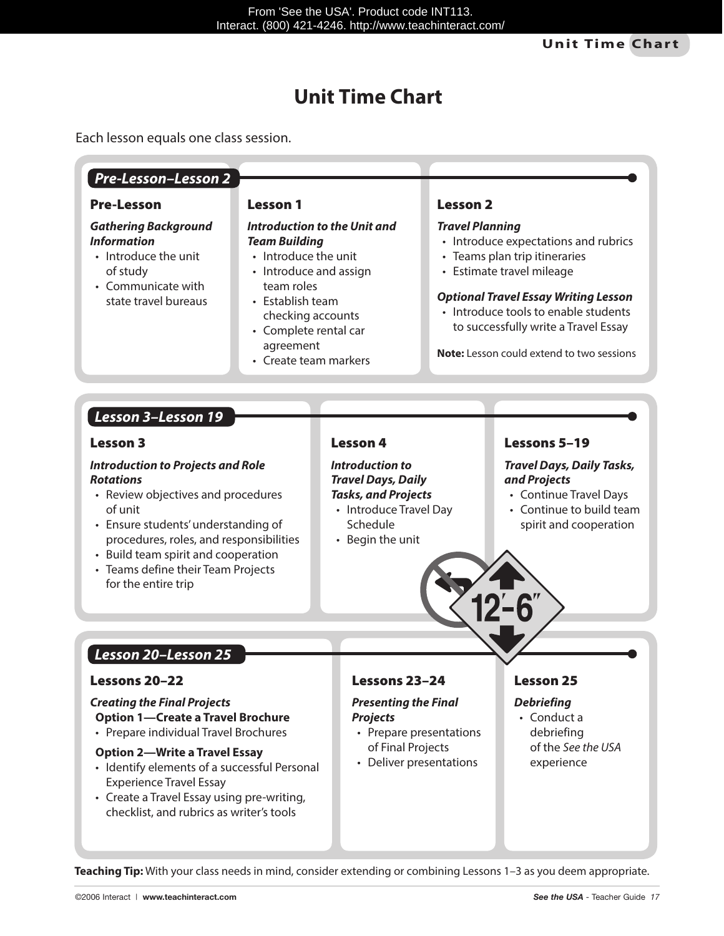# **Unit Time Chart**

Each lesson equals one class session.

|                                                                                                                                                                                                                                                                                                     | <b>Lesson 1</b>                                                                                                                                                                                                                     |                                                                                                                                             | <b>Lesson 2</b>        |                                                                                                                                                                                                                                                                                |  |
|-----------------------------------------------------------------------------------------------------------------------------------------------------------------------------------------------------------------------------------------------------------------------------------------------------|-------------------------------------------------------------------------------------------------------------------------------------------------------------------------------------------------------------------------------------|---------------------------------------------------------------------------------------------------------------------------------------------|------------------------|--------------------------------------------------------------------------------------------------------------------------------------------------------------------------------------------------------------------------------------------------------------------------------|--|
| <b>Gathering Background</b><br><b>Information</b><br>• Introduce the unit<br>of study<br>• Communicate with<br>state travel bureaus                                                                                                                                                                 | <b>Introduction to the Unit and</b><br><b>Team Building</b><br>• Introduce the unit<br>• Introduce and assign<br>team roles<br>• Establish team<br>checking accounts<br>• Complete rental car<br>agreement<br>• Create team markers |                                                                                                                                             | <b>Travel Planning</b> | • Introduce expectations and rubrics<br>• Teams plan trip itineraries<br>• Estimate travel mileage<br><b>Optional Travel Essay Writing Lesson</b><br>• Introduce tools to enable students<br>to successfully write a Travel Essay<br>Note: Lesson could extend to two sessions |  |
| Lesson 3-Lesson 19                                                                                                                                                                                                                                                                                  |                                                                                                                                                                                                                                     |                                                                                                                                             |                        |                                                                                                                                                                                                                                                                                |  |
| <b>Lesson 3</b>                                                                                                                                                                                                                                                                                     |                                                                                                                                                                                                                                     | <b>Lesson 4</b>                                                                                                                             |                        | Lessons 5-19                                                                                                                                                                                                                                                                   |  |
| <b>Introduction to Projects and Role</b><br><b>Rotations</b><br>• Review objectives and procedures<br>of unit<br>• Ensure students' understanding of<br>procedures, roles, and responsibilities<br>• Build team spirit and cooperation<br>• Teams define their Team Projects<br>for the entire trip |                                                                                                                                                                                                                                     | <b>Introduction to</b><br><b>Travel Days, Daily</b><br><b>Tasks, and Projects</b><br>• Introduce Travel Day<br>Schedule<br>• Begin the unit |                        | <b>Travel Days, Daily Tasks,</b><br>and Projects<br>• Continue Travel Days<br>• Continue to build team<br>spirit and cooperation                                                                                                                                               |  |
|                                                                                                                                                                                                                                                                                                     |                                                                                                                                                                                                                                     |                                                                                                                                             |                        |                                                                                                                                                                                                                                                                                |  |
| Lesson 20-Lesson 25                                                                                                                                                                                                                                                                                 |                                                                                                                                                                                                                                     |                                                                                                                                             |                        |                                                                                                                                                                                                                                                                                |  |
| Lessons 20–22                                                                                                                                                                                                                                                                                       |                                                                                                                                                                                                                                     | Lessons 23-24                                                                                                                               |                        | Lesson 25                                                                                                                                                                                                                                                                      |  |

**Teaching Tip:** With your class needs in mind, consider extending or combining Lessons 1–3 as you deem appropriate.